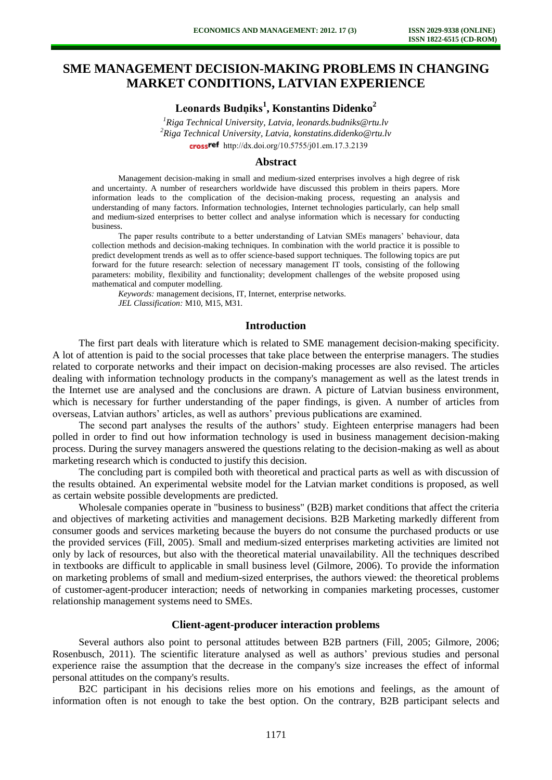# **SME MANAGEMENT DECISION-MAKING PROBLEMS IN CHANGING MARKET CONDITIONS, LATVIAN EXPERIENCE**

**Leonards Budņiks<sup>1</sup> , Konstantins Didenko<sup>2</sup>**

*<sup>1</sup>Riga Technical University, Latvia, leonards.budniks@rtu.lv <sup>2</sup>Riga Technical University, Latvia, konstatins.didenko@rtu.lv*  crossref [http://dx.doi.org/10.5755/j01.e](http://dx.doi.org/10.5755/j01.em.17.3.2139)m.17.3.2139

## **Abstract**

Management decision-making in small and medium-sized enterprises involves a high degree of risk and uncertainty. A number of researchers worldwide have discussed this problem in theirs papers. More information leads to the complication of the decision-making process, requesting an analysis and understanding of many factors. Information technologies, Internet technologies particularly, can help small and medium-sized enterprises to better collect and analyse information which is necessary for conducting business.

The paper results contribute to a better understanding of Latvian SMEs managers' behaviour, data collection methods and decision-making techniques. In combination with the world practice it is possible to predict development trends as well as to offer science-based support techniques. The following topics are put forward for the future research: selection of necessary management IT tools, consisting of the following parameters: mobility, flexibility and functionality; development challenges of the website proposed using mathematical and computer modelling.

*Keywords:* management decisions, IT, Internet, enterprise networks. *JEL Classification:* M10, M15, M31.

### **Introduction**

The first part deals with literature which is related to SME management decision-making specificity. A lot of attention is paid to the social processes that take place between the enterprise managers. The studies related to corporate networks and their impact on decision-making processes are also revised. The articles dealing with information technology products in the company's management as well as the latest trends in the Internet use are analysed and the conclusions are drawn. A picture of Latvian business environment, which is necessary for further understanding of the paper findings, is given. A number of articles from overseas, Latvian authors' articles, as well as authors' previous publications are examined.

The second part analyses the results of the authors' study. Eighteen enterprise managers had been polled in order to find out how information technology is used in business management decision-making process. During the survey managers answered the questions relating to the decision-making as well as about marketing research which is conducted to justify this decision.

The concluding part is compiled both with theoretical and practical parts as well as with discussion of the results obtained. An experimental website model for the Latvian market conditions is proposed, as well as certain website possible developments are predicted.

Wholesale companies operate in "business to business" (B2B) market conditions that affect the criteria and objectives of marketing activities and management decisions. B2B Marketing markedly different from consumer goods and services marketing because the buyers do not consume the purchased products or use the provided services (Fill, 2005). Small and medium-sized enterprises marketing activities are limited not only by lack of resources, but also with the theoretical material unavailability. All the techniques described in textbooks are difficult to applicable in small business level (Gilmore, 2006). To provide the information on marketing problems of small and medium-sized enterprises, the authors viewed: the theoretical problems of customer-agent-producer interaction; needs of networking in companies marketing processes, customer relationship management systems need to SMEs.

#### **Client-agent-producer interaction problems**

Several authors also point to personal attitudes between B2B partners (Fill, 2005; Gilmore, 2006; Rosenbusch, 2011). The scientific literature analysed as well as authors' previous studies and personal experience raise the assumption that the decrease in the company's size increases the effect of informal personal attitudes on the company's results.

B2C participant in his decisions relies more on his emotions and feelings, as the amount of information often is not enough to take the best option. On the contrary, B2B participant selects and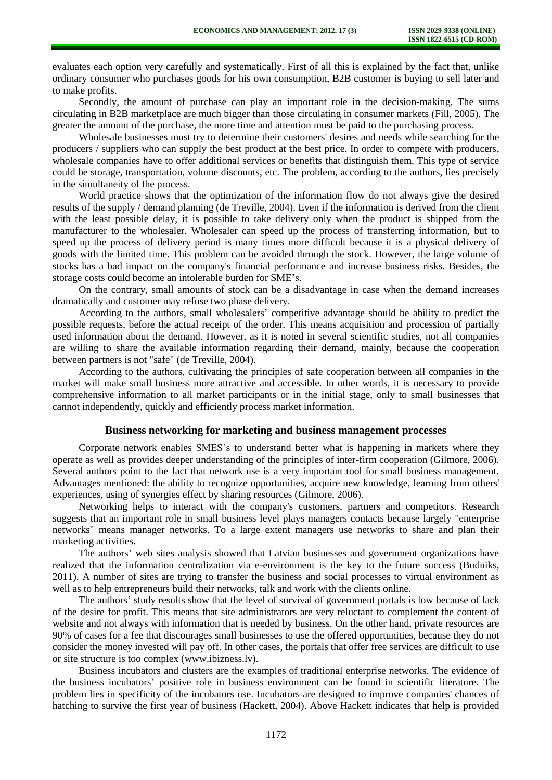evaluates each option very carefully and systematically. First of all this is explained by the fact that, unlike ordinary consumer who purchases goods for his own consumption, B2B customer is buying to sell later and to make profits.

Secondly, the amount of purchase can play an important role in the decision-making. The sums circulating in B2B marketplace are much bigger than those circulating in consumer markets (Fill, 2005). The greater the amount of the purchase, the more time and attention must be paid to the purchasing process.

Wholesale businesses must try to determine their customers' desires and needs while searching for the producers / suppliers who can supply the best product at the best price. In order to compete with producers, wholesale companies have to offer additional services or benefits that distinguish them. This type of service could be storage, transportation, volume discounts, etc. The problem, according to the authors, lies precisely in the simultaneity of the process.

World practice shows that the optimization of the information flow do not always give the desired results of the supply / demand planning (de Treville, 2004). Even if the information is derived from the client with the least possible delay, it is possible to take delivery only when the product is shipped from the manufacturer to the wholesaler. Wholesaler can speed up the process of transferring information, but to speed up the process of delivery period is many times more difficult because it is a physical delivery of goods with the limited time. This problem can be avoided through the stock. However, the large volume of stocks has a bad impact on the company's financial performance and increase business risks. Besides, the storage costs could become an intolerable burden for SME's.

On the contrary, small amounts of stock can be a disadvantage in case when the demand increases dramatically and customer may refuse two phase delivery.

According to the authors, small wholesalers' competitive advantage should be ability to predict the possible requests, before the actual receipt of the order. This means acquisition and procession of partially used information about the demand. However, as it is noted in several scientific studies, not all companies are willing to share the available information regarding their demand, mainly, because the cooperation between partners is not "safe" (de Treville, 2004).

According to the authors, cultivating the principles of safe cooperation between all companies in the market will make small business more attractive and accessible. In other words, it is necessary to provide comprehensive information to all market participants or in the initial stage, only to small businesses that cannot independently, quickly and efficiently process market information.

## **Business networking for marketing and business management processes**

Corporate network enables SMES's to understand better what is happening in markets where they operate as well as provides deeper understanding of the principles of inter-firm cooperation (Gilmore, 2006). Several authors point to the fact that network use is a very important tool for small business management. Advantages mentioned: the ability to recognize opportunities, acquire new knowledge, learning from others' experiences, using of synergies effect by sharing resources (Gilmore, 2006).

Networking helps to interact with the company's customers, partners and competitors. Research suggests that an important role in small business level plays managers contacts because largely "enterprise networks" means manager networks. To a large extent managers use networks to share and plan their marketing activities.

The authors' web sites analysis showed that Latvian businesses and government organizations have realized that the information centralization via e-environment is the key to the future success (Budniks, 2011). A number of sites are trying to transfer the business and social processes to virtual environment as well as to help entrepreneurs build their networks, talk and work with the clients online.

The authors' study results show that the level of survival of government portals is low because of lack of the desire for profit. This means that site administrators are very reluctant to complement the content of website and not always with information that is needed by business. On the other hand, private resources are 90% of cases for a fee that discourages small businesses to use the offered opportunities, because they do not consider the money invested will pay off. In other cases, the portals that offer free services are difficult to use or site structure is too complex (www.ibizness.lv).

Business incubators and clusters are the examples of traditional enterprise networks. The evidence of the business incubators' positive role in business environment can be found in scientific literature. The problem lies in specificity of the incubators use. Incubators are designed to improve companies' chances of hatching to survive the first year of business (Hackett, 2004). Above Hackett indicates that help is provided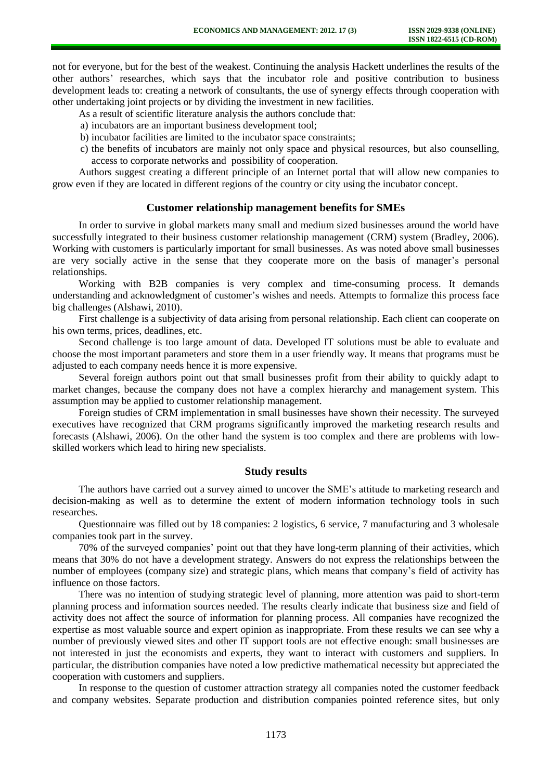not for everyone, but for the best of the weakest. Continuing the analysis Hackett underlines the results of the other authors' researches, which says that the incubator role and positive contribution to business development leads to: creating a network of consultants, the use of synergy effects through cooperation with other undertaking joint projects or by dividing the investment in new facilities.

As a result of scientific literature analysis the authors conclude that:

- a) incubators are an important business development tool;
- b) incubator facilities are limited to the incubator space constraints;
- c) the benefits of incubators are mainly not only space and physical resources, but also counselling, access to corporate networks and possibility of cooperation.

Authors suggest creating a different principle of an Internet portal that will allow new companies to grow even if they are located in different regions of the country or city using the incubator concept.

## **Customer relationship management benefits for SMEs**

In order to survive in global markets many small and medium sized businesses around the world have successfully integrated to their business customer relationship management (CRM) system (Bradley, 2006). Working with customers is particularly important for small businesses. As was noted above small businesses are very socially active in the sense that they cooperate more on the basis of manager's personal relationships.

Working with B2B companies is very complex and time-consuming process. It demands understanding and acknowledgment of customer's wishes and needs. Attempts to formalize this process face big challenges (Alshawi, 2010).

First challenge is a subjectivity of data arising from personal relationship. Each client can cooperate on his own terms, prices, deadlines, etc.

Second challenge is too large amount of data. Developed IT solutions must be able to evaluate and choose the most important parameters and store them in a user friendly way. It means that programs must be adjusted to each company needs hence it is more expensive.

Several foreign authors point out that small businesses profit from their ability to quickly adapt to market changes, because the company does not have a complex hierarchy and management system. This assumption may be applied to customer relationship management.

Foreign studies of CRM implementation in small businesses have shown their necessity. The surveyed executives have recognized that CRM programs significantly improved the marketing research results and forecasts (Alshawi, 2006). On the other hand the system is too complex and there are problems with lowskilled workers which lead to hiring new specialists.

#### **Study results**

The authors have carried out a survey aimed to uncover the SME's attitude to marketing research and decision-making as well as to determine the extent of modern information technology tools in such researches.

Questionnaire was filled out by 18 companies: 2 logistics, 6 service, 7 manufacturing and 3 wholesale companies took part in the survey.

70% of the surveyed companies' point out that they have long-term planning of their activities, which means that 30% do not have a development strategy. Answers do not express the relationships between the number of employees (company size) and strategic plans, which means that company's field of activity has influence on those factors.

There was no intention of studying strategic level of planning, more attention was paid to short-term planning process and information sources needed. The results clearly indicate that business size and field of activity does not affect the source of information for planning process. All companies have recognized the expertise as most valuable source and expert opinion as inappropriate. From these results we can see why a number of previously viewed sites and other IT support tools are not effective enough: small businesses are not interested in just the economists and experts, they want to interact with customers and suppliers. In particular, the distribution companies have noted a low predictive mathematical necessity but appreciated the cooperation with customers and suppliers.

In response to the question of customer attraction strategy all companies noted the customer feedback and company websites. Separate production and distribution companies pointed reference sites, but only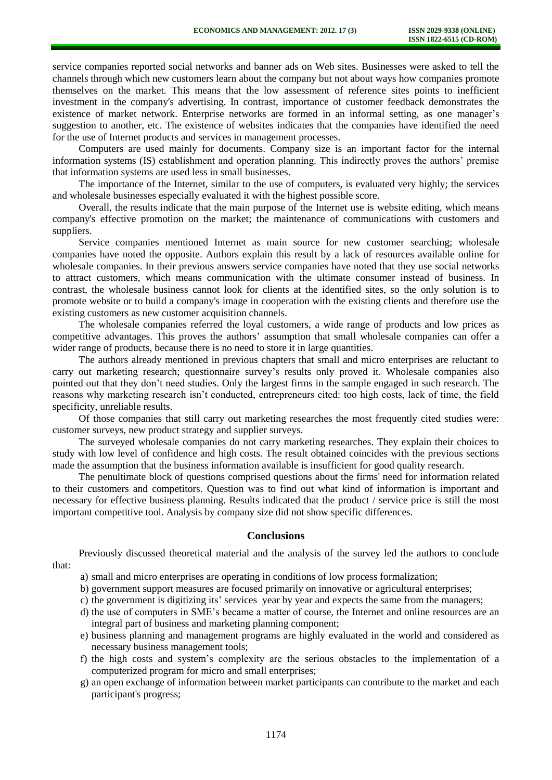service companies reported social networks and banner ads on Web sites. Businesses were asked to tell the channels through which new customers learn about the company but not about ways how companies promote themselves on the market. This means that the low assessment of reference sites points to inefficient investment in the company's advertising. In contrast, importance of customer feedback demonstrates the existence of market network. Enterprise networks are formed in an informal setting, as one manager's suggestion to another, etc. The existence of websites indicates that the companies have identified the need for the use of Internet products and services in management processes.

Computers are used mainly for documents. Company size is an important factor for the internal information systems (IS) establishment and operation planning. This indirectly proves the authors' premise that information systems are used less in small businesses.

The importance of the Internet, similar to the use of computers, is evaluated very highly; the services and wholesale businesses especially evaluated it with the highest possible score.

Overall, the results indicate that the main purpose of the Internet use is website editing, which means company's effective promotion on the market; the maintenance of communications with customers and suppliers.

Service companies mentioned Internet as main source for new customer searching; wholesale companies have noted the opposite. Authors explain this result by a lack of resources available online for wholesale companies. In their previous answers service companies have noted that they use social networks to attract customers, which means communication with the ultimate consumer instead of business. In contrast, the wholesale business cannot look for clients at the identified sites, so the only solution is to promote website or to build a company's image in cooperation with the existing clients and therefore use the existing customers as new customer acquisition channels.

The wholesale companies referred the loyal customers, a wide range of products and low prices as competitive advantages. This proves the authors' assumption that small wholesale companies can offer a wider range of products, because there is no need to store it in large quantities.

The authors already mentioned in previous chapters that small and micro enterprises are reluctant to carry out marketing research; questionnaire survey's results only proved it. Wholesale companies also pointed out that they don't need studies. Only the largest firms in the sample engaged in such research. The reasons why marketing research isn't conducted, entrepreneurs cited: too high costs, lack of time, the field specificity, unreliable results.

Of those companies that still carry out marketing researches the most frequently cited studies were: customer surveys, new product strategy and supplier surveys.

The surveyed wholesale companies do not carry marketing researches. They explain their choices to study with low level of confidence and high costs. The result obtained coincides with the previous sections made the assumption that the business information available is insufficient for good quality research.

The penultimate block of questions comprised questions about the firms' need for information related to their customers and competitors. Question was to find out what kind of information is important and necessary for effective business planning. Results indicated that the product / service price is still the most important competitive tool. Analysis by company size did not show specific differences.

# **Conclusions**

Previously discussed theoretical material and the analysis of the survey led the authors to conclude that:

- a) small and micro enterprises are operating in conditions of low process formalization;
- b) government support measures are focused primarily on innovative or agricultural enterprises;
- c) the government is digitizing its' services year by year and expects the same from the managers;
- d) the use of computers in SME's became a matter of course, the Internet and online resources are an integral part of business and marketing planning component;
- e) business planning and management programs are highly evaluated in the world and considered as necessary business management tools;
- f) the high costs and system's complexity are the serious obstacles to the implementation of a computerized program for micro and small enterprises;
- g) an open exchange of information between market participants can contribute to the market and each participant's progress;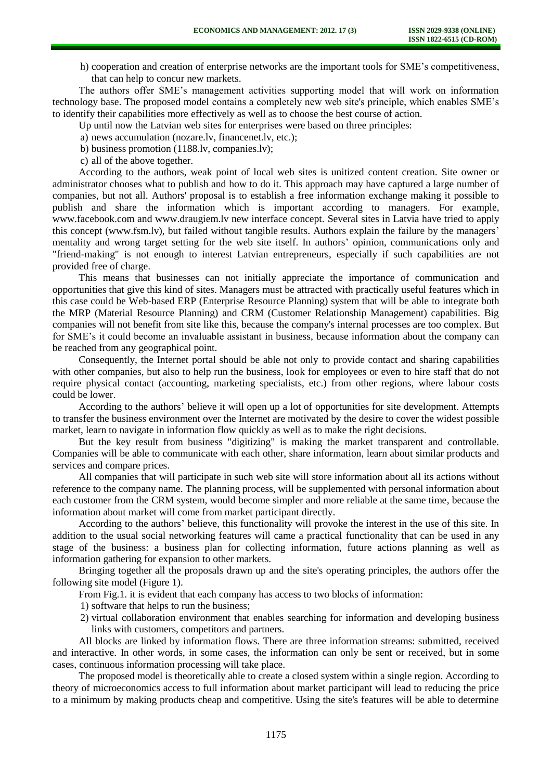h) cooperation and creation of enterprise networks are the important tools for SME's competitiveness, that can help to concur new markets.

The authors offer SME's management activities supporting model that will work on information technology base. The proposed model contains a completely new web site's principle, which enables SME's to identify their capabilities more effectively as well as to choose the best course of action.

Up until now the Latvian web sites for enterprises were based on three principles:

- a) news accumulation (nozare.lv, financenet.lv, etc.);
- b) business promotion (1188.lv, companies.lv);

c) all of the above together.

According to the authors, weak point of local web sites is unitized content creation. Site owner or administrator chooses what to publish and how to do it. This approach may have captured a large number of companies, but not all. Authors' proposal is to establish a free information exchange making it possible to publish and share the information which is important according to managers. For example, www.facebook.com and www.draugiem.lv new interface concept. Several sites in Latvia have tried to apply this concept (www.fsm.lv), but failed without tangible results. Authors explain the failure by the managers' mentality and wrong target setting for the web site itself. In authors' opinion, communications only and "friend-making" is not enough to interest Latvian entrepreneurs, especially if such capabilities are not provided free of charge.

This means that businesses can not initially appreciate the importance of communication and opportunities that give this kind of sites. Managers must be attracted with practically useful features which in this case could be Web-based ERP (Enterprise Resource Planning) system that will be able to integrate both the MRP (Material Resource Planning) and CRM (Customer Relationship Management) capabilities. Big companies will not benefit from site like this, because the company's internal processes are too complex. But for SME's it could become an invaluable assistant in business, because information about the company can be reached from any geographical point.

Consequently, the Internet portal should be able not only to provide contact and sharing capabilities with other companies, but also to help run the business, look for employees or even to hire staff that do not require physical contact (accounting, marketing specialists, etc.) from other regions, where labour costs could be lower.

According to the authors' believe it will open up a lot of opportunities for site development. Attempts to transfer the business environment over the Internet are motivated by the desire to cover the widest possible market, learn to navigate in information flow quickly as well as to make the right decisions.

But the key result from business "digitizing" is making the market transparent and controllable. Companies will be able to communicate with each other, share information, learn about similar products and services and compare prices.

All companies that will participate in such web site will store information about all its actions without reference to the company name. The planning process, will be supplemented with personal information about each customer from the CRM system, would become simpler and more reliable at the same time, because the information about market will come from market participant directly.

According to the authors' believe, this functionality will provoke the interest in the use of this site. In addition to the usual social networking features will came a practical functionality that can be used in any stage of the business: a business plan for collecting information, future actions planning as well as information gathering for expansion to other markets.

Bringing together all the proposals drawn up and the site's operating principles, the authors offer the following site model (Figure 1).

From Fig.1. it is evident that each company has access to two blocks of information:

1) software that helps to run the business;

2) virtual collaboration environment that enables searching for information and developing business links with customers, competitors and partners.

All blocks are linked by information flows. There are three information streams: submitted, received and interactive. In other words, in some cases, the information can only be sent or received, but in some cases, continuous information processing will take place.

The proposed model is theoretically able to create a closed system within a single region. According to theory of microeconomics access to full information about market participant will lead to reducing the price to a minimum by making products cheap and competitive. Using the site's features will be able to determine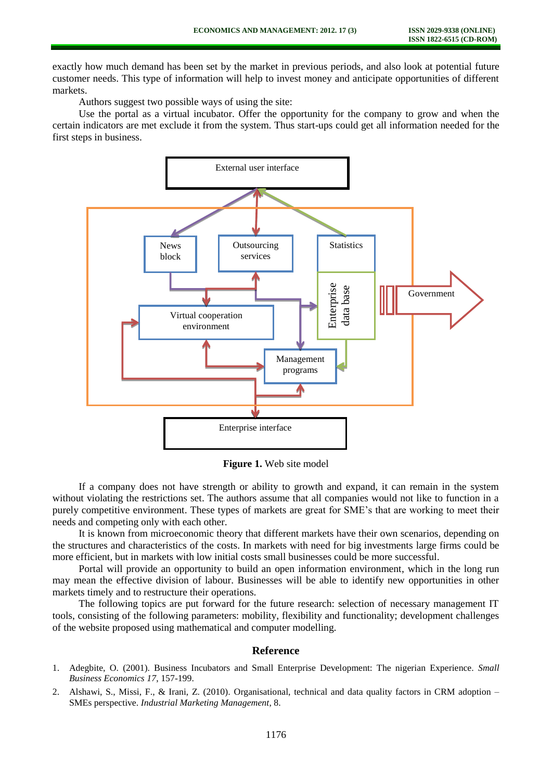exactly how much demand has been set by the market in previous periods, and also look at potential future customer needs. This type of information will help to invest money and anticipate opportunities of different markets.

Authors suggest two possible ways of using the site:

Use the portal as a virtual incubator. Offer the opportunity for the company to grow and when the certain indicators are met exclude it from the system. Thus start-ups could get all information needed for the first steps in business.



**Figure 1.** Web site model

If a company does not have strength or ability to growth and expand, it can remain in the system without violating the restrictions set. The authors assume that all companies would not like to function in a purely competitive environment. These types of markets are great for SME's that are working to meet their needs and competing only with each other.

It is known from microeconomic theory that different markets have their own scenarios, depending on the structures and characteristics of the costs. In markets with need for big investments large firms could be more efficient, but in markets with low initial costs small businesses could be more successful.

Portal will provide an opportunity to build an open information environment, which in the long run may mean the effective division of labour. Businesses will be able to identify new opportunities in other markets timely and to restructure their operations.

The following topics are put forward for the future research: selection of necessary management IT tools, consisting of the following parameters: mobility, flexibility and functionality; development challenges of the website proposed using mathematical and computer modelling.

# **Reference**

- 1. Adegbite, O. (2001). Business Incubators and Small Enterprise Development: The nigerian Experience. *Small Business Economics 17*, 157-199.
- 2. Alshawi, S., Missi, F., & Irani, Z. (2010). Organisational, technical and data quality factors in CRM adoption SMEs perspective. *Industrial Marketing Management*, 8.